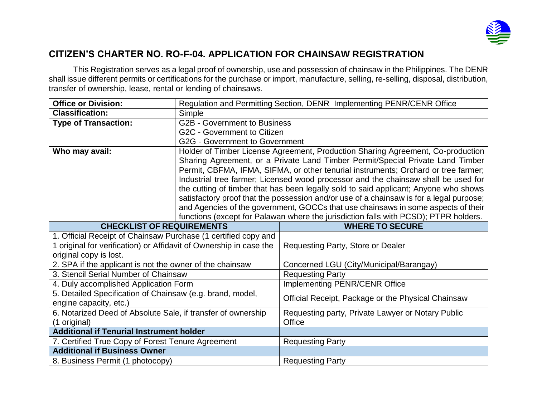

## **CITIZEN'S CHARTER NO. RO-F-04. APPLICATION FOR CHAINSAW REGISTRATION**

This Registration serves as a legal proof of ownership, use and possession of chainsaw in the Philippines. The DENR shall issue different permits or certifications for the purchase or import, manufacture, selling, re-selling, disposal, distribution, transfer of ownership, lease, rental or lending of chainsaws.

| <b>Office or Division:</b>                                         | Regulation and Permitting Section, DENR Implementing PENR/CENR Office                   |                                                    |  |  |
|--------------------------------------------------------------------|-----------------------------------------------------------------------------------------|----------------------------------------------------|--|--|
| <b>Classification:</b>                                             | Simple                                                                                  |                                                    |  |  |
| <b>Type of Transaction:</b>                                        | <b>G2B - Government to Business</b>                                                     |                                                    |  |  |
|                                                                    | G2C - Government to Citizen                                                             |                                                    |  |  |
|                                                                    | G2G - Government to Government                                                          |                                                    |  |  |
| Who may avail:                                                     | Holder of Timber License Agreement, Production Sharing Agreement, Co-production         |                                                    |  |  |
|                                                                    | Sharing Agreement, or a Private Land Timber Permit/Special Private Land Timber          |                                                    |  |  |
|                                                                    | Permit, CBFMA, IFMA, SIFMA, or other tenurial instruments; Orchard or tree farmer;      |                                                    |  |  |
|                                                                    | Industrial tree farmer; Licensed wood processor and the chainsaw shall be used for      |                                                    |  |  |
|                                                                    | the cutting of timber that has been legally sold to said applicant; Anyone who shows    |                                                    |  |  |
|                                                                    | satisfactory proof that the possession and/or use of a chainsaw is for a legal purpose; |                                                    |  |  |
|                                                                    | and Agencies of the government, GOCCs that use chainsaws in some aspects of their       |                                                    |  |  |
|                                                                    | functions (except for Palawan where the jurisdiction falls with PCSD); PTPR holders.    |                                                    |  |  |
| <b>CHECKLIST OF REQUIREMENTS</b><br><b>WHERE TO SECURE</b>         |                                                                                         |                                                    |  |  |
| 1. Official Receipt of Chainsaw Purchase (1 certified copy and     |                                                                                         |                                                    |  |  |
|                                                                    |                                                                                         |                                                    |  |  |
| 1 original for verification) or Affidavit of Ownership in case the |                                                                                         | Requesting Party, Store or Dealer                  |  |  |
| original copy is lost.                                             |                                                                                         |                                                    |  |  |
| 2. SPA if the applicant is not the owner of the chainsaw           |                                                                                         | Concerned LGU (City/Municipal/Barangay)            |  |  |
| 3. Stencil Serial Number of Chainsaw                               |                                                                                         | <b>Requesting Party</b>                            |  |  |
| 4. Duly accomplished Application Form                              |                                                                                         | <b>Implementing PENR/CENR Office</b>               |  |  |
| 5. Detailed Specification of Chainsaw (e.g. brand, model,          |                                                                                         |                                                    |  |  |
| engine capacity, etc.)                                             |                                                                                         | Official Receipt, Package or the Physical Chainsaw |  |  |
| 6. Notarized Deed of Absolute Sale, if transfer of ownership       |                                                                                         | Requesting party, Private Lawyer or Notary Public  |  |  |
| (1 original)                                                       |                                                                                         | Office                                             |  |  |
| <b>Additional if Tenurial Instrument holder</b>                    |                                                                                         |                                                    |  |  |
| 7. Certified True Copy of Forest Tenure Agreement                  |                                                                                         | <b>Requesting Party</b>                            |  |  |
| <b>Additional if Business Owner</b>                                |                                                                                         |                                                    |  |  |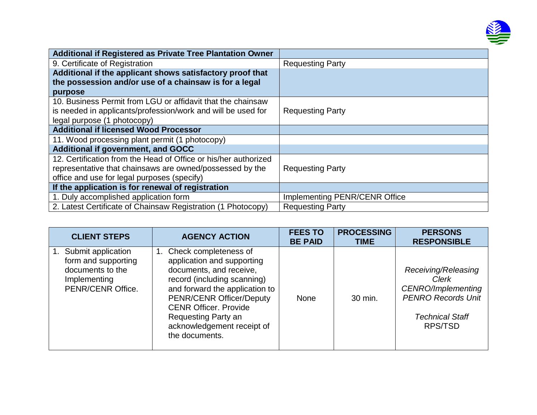

| <b>Additional if Registered as Private Tree Plantation Owner</b> |                                      |
|------------------------------------------------------------------|--------------------------------------|
| 9. Certificate of Registration                                   | <b>Requesting Party</b>              |
| Additional if the applicant shows satisfactory proof that        |                                      |
| the possession and/or use of a chainsaw is for a legal           |                                      |
| purpose                                                          |                                      |
| 10. Business Permit from LGU or affidavit that the chainsaw      |                                      |
| is needed in applicants/profession/work and will be used for     | <b>Requesting Party</b>              |
| legal purpose (1 photocopy)                                      |                                      |
| <b>Additional if licensed Wood Processor</b>                     |                                      |
| 11. Wood processing plant permit (1 photocopy)                   |                                      |
| <b>Additional if government, and GOCC</b>                        |                                      |
| 12. Certification from the Head of Office or his/her authorized  |                                      |
| representative that chainsaws are owned/possessed by the         | <b>Requesting Party</b>              |
| office and use for legal purposes (specify)                      |                                      |
| If the application is for renewal of registration                |                                      |
| 1. Duly accomplished application form                            | <b>Implementing PENR/CENR Office</b> |
| 2. Latest Certificate of Chainsaw Registration (1 Photocopy)     | <b>Requesting Party</b>              |

| <b>CLIENT STEPS</b>                                                                                   | <b>AGENCY ACTION</b>                                                                                                                                                                                                                                                                            | <b>FEES TO</b><br><b>BE PAID</b> | <b>PROCESSING</b><br><b>TIME</b> | <b>PERSONS</b><br><b>RESPONSIBLE</b>                                                                                        |
|-------------------------------------------------------------------------------------------------------|-------------------------------------------------------------------------------------------------------------------------------------------------------------------------------------------------------------------------------------------------------------------------------------------------|----------------------------------|----------------------------------|-----------------------------------------------------------------------------------------------------------------------------|
| 1. Submit application<br>form and supporting<br>documents to the<br>Implementing<br>PENR/CENR Office. | Check completeness of<br>1.<br>application and supporting<br>documents, and receive,<br>record (including scanning)<br>and forward the application to<br><b>PENR/CENR Officer/Deputy</b><br><b>CENR Officer, Provide</b><br>Requesting Party an<br>acknowledgement receipt of<br>the documents. | None                             | 30 min.                          | Receiving/Releasing<br>Clerk<br><b>CENRO/Implementing</b><br><b>PENRO Records Unit</b><br><b>Technical Staff</b><br>RPS/TSD |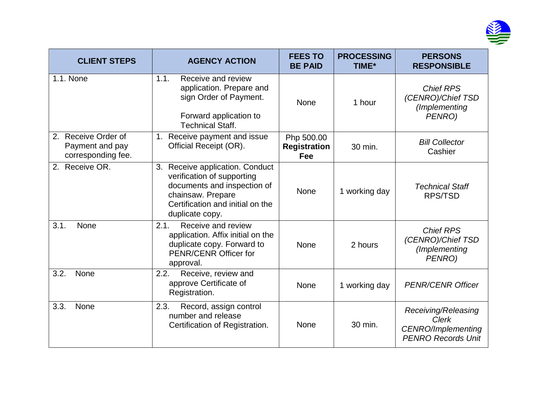

| <b>CLIENT STEPS</b>                                             | <b>AGENCY ACTION</b>                                                                                                                                                     | <b>FEES TO</b><br><b>BE PAID</b>         | <b>PROCESSING</b><br><b>TIME*</b> | <b>PERSONS</b><br><b>RESPONSIBLE</b>                                                          |
|-----------------------------------------------------------------|--------------------------------------------------------------------------------------------------------------------------------------------------------------------------|------------------------------------------|-----------------------------------|-----------------------------------------------------------------------------------------------|
| 1.1. None                                                       | Receive and review<br>1.1.<br>application. Prepare and<br>sign Order of Payment.<br>Forward application to<br><b>Technical Staff.</b>                                    | <b>None</b>                              | 1 hour                            | <b>Chief RPS</b><br>(CENRO)/Chief TSD<br>(Implementing<br>PENRO)                              |
| Receive Order of<br>2.<br>Payment and pay<br>corresponding fee. | 1. Receive payment and issue<br>Official Receipt (OR).                                                                                                                   | Php 500.00<br><b>Registration</b><br>Fee | 30 min.                           | <b>Bill Collector</b><br>Cashier                                                              |
| 2. Receive OR.                                                  | 3. Receive application. Conduct<br>verification of supporting<br>documents and inspection of<br>chainsaw. Prepare<br>Certification and initial on the<br>duplicate copy. | None                                     | 1 working day                     | <b>Technical Staff</b><br><b>RPS/TSD</b>                                                      |
| 3.1.<br>None                                                    | 2.1.<br>Receive and review<br>application. Affix initial on the<br>duplicate copy. Forward to<br><b>PENR/CENR Officer for</b><br>approval.                               | None                                     | 2 hours                           | <b>Chief RPS</b><br>(CENRO)/Chief TSD<br>(Implementing<br>PENRO)                              |
| 3.2.<br><b>None</b>                                             | 2.2.<br>Receive, review and<br>approve Certificate of<br>Registration.                                                                                                   | <b>None</b>                              | 1 working day                     | <b>PENR/CENR Officer</b>                                                                      |
| 3.3.<br>None                                                    | 2.3.<br>Record, assign control<br>number and release<br>Certification of Registration.                                                                                   | <b>None</b>                              | 30 min.                           | Receiving/Releasing<br><b>Clerk</b><br><b>CENRO/Implementing</b><br><b>PENRO Records Unit</b> |